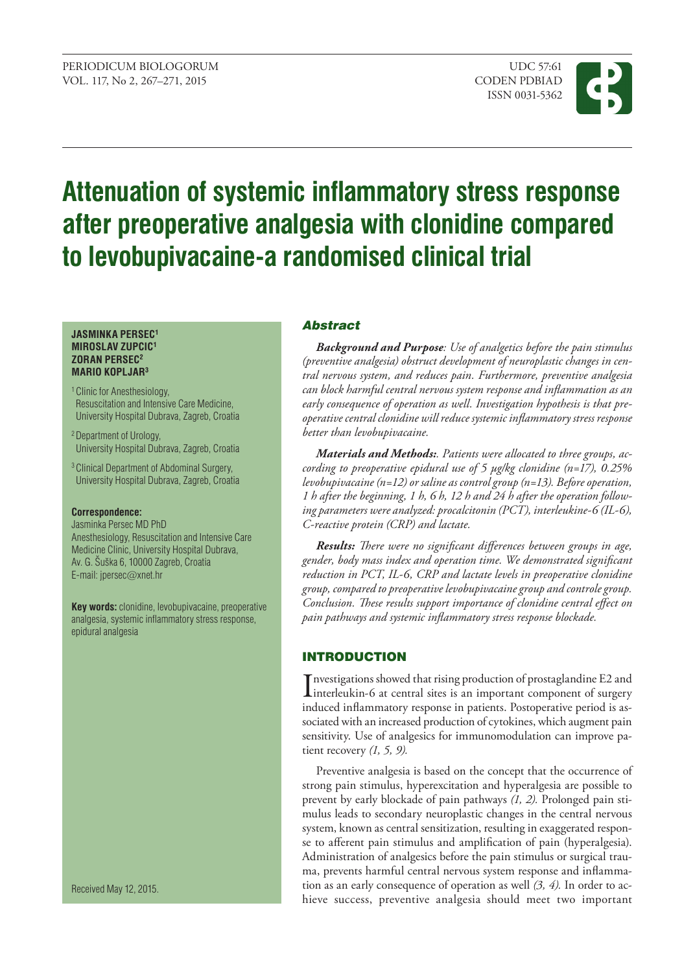

# **Attenuation of systemic inflammatory stress response after preoperative analgesia with clonidine compared to levobupivacaine-a randomised clinical trial**

#### **JASMINKA PERSEC1 MIROSLAV ZUPCIC1 ZORAN PERSEC2 MARIO KOPLJAR3**

- <sup>1</sup> Clinic for Anesthesiology, Resuscitation and Intensive Care Medicine, University Hospital Dubrava, Zagreb, Croatia
- 2 Department of Urology, University Hospital Dubrava, Zagreb, Croatia
- 3 Clinical Department of Abdominal Surgery, University Hospital Dubrava, Zagreb, Croatia

#### **Correspondence:**

Jasminka Persec MD PhD Anesthesiology, Resuscitation and Intensive Care Medicine Clinic, University Hospital Dubrava, Av. G. Šuška 6, 10000 Zagreb, Croatia E-mail: [jpersec](mailto:jpersec@net.amis.hr)@xnet.hr

**Key words:** clonidine, levobupivacaine, preoperative analgesia, systemic inflammatory stress response, epidural analgesia

Received May 12, 2015.

## Abstract

*Background and purpose: Use of analgetics before the pain stimulus (preventive analgesia) obstruct development of neuroplastic changes in central nervous system, and reduces pain. Furthermore, preventive analgesia can block harmful central nervous system response and inflammation as an early consequence of operation as well. Investigation hypothesis is that preoperative central clonidine will reduce systemic inflammatory stress response better than levobupivacaine.* 

*Materials and methods:. Patients were allocated to three groups, according to preoperative epidural use of 5 μg/kg clonidine (n=17), 0.25% levobupivacaine (n=12) or saline as control group (n=13). Before operation, 1 h after the beginning, 1 h, 6 h, 12 h and 24 h after the operation following parameters were analyzed: procalcitonin (PCT), interleukine-6 (IL-6), C-reactive protein (CRP) and lactate.* 

*Results: There were no significant differences between groups in age, gender, body mass index and operation time. We demonstrated significant reduction in PCT, IL-6, CRP and lactate levels in preoperative clonidine group, compared to preoperative levobupivacaine group and controle group. Conclusion. These results support importance of clonidine central effect on pain pathways and systemic inflammatory stress response blockade.* 

## **INTRODUCTION**

Investigations showed that rising production of prostaglandine E2 and<br>interleukin-6 at central sites is an important component of surgery<br>in due of inflamentary property in position. Performancies and disco interleukin-6 at central sites is an important component of surgery induced inflammatory response in patients. Postoperative period is associated with an increased production of cytokines, which augment pain sensitivity. Use of analgesics for immunomodulation can improve patient recovery *(1, 5, 9).*

Preventive analgesia is based on the concept that the occurrence of strong pain stimulus, hyperexcitation and hyperalgesia are possible to prevent by early blockade of pain pathways *(1, 2).* Prolonged pain stimulus leads to secondary neuroplastic changes in the central nervous system, known as central sensitization, resulting in exaggerated response to afferent pain stimulus and amplification of pain (hyperalgesia). Administration of analgesics before the pain stimulus or surgical trauma, prevents harmful central nervous system response and inflammation as an early consequence of operation as well *(3, 4).* In order to achieve success, preventive analgesia should meet two important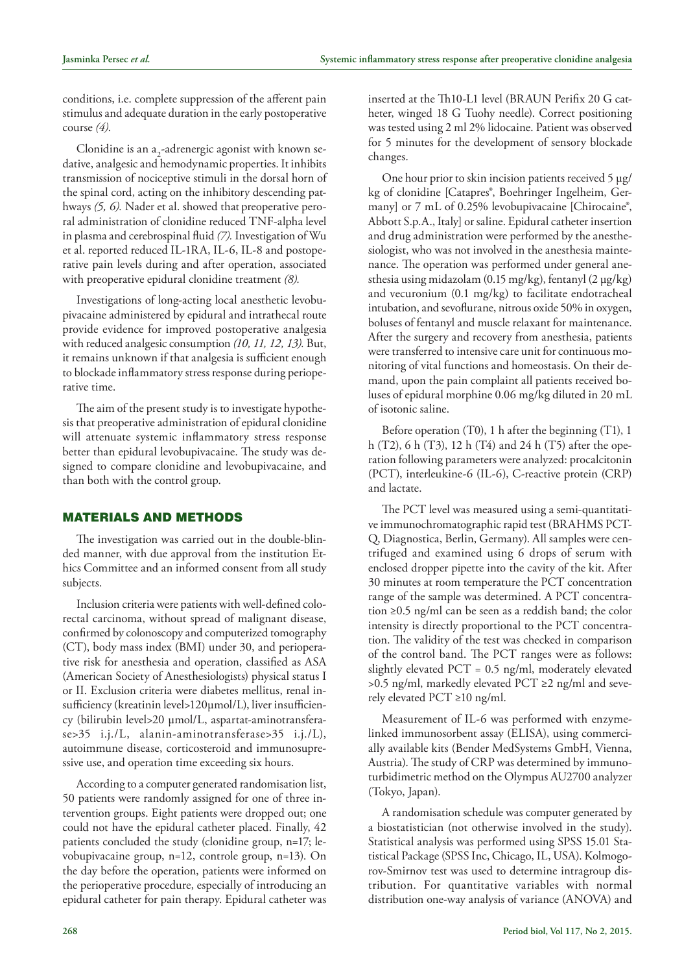conditions, i.e. complete suppression of the afferent pain stimulus and adequate duration in the early postoperative course *(4)*.

Clonidine is an  $a_{2}$ -adrenergic agonist with known sedative, analgesic and hemodynamic properties. It inhibits transmission of nociceptive stimuli in the dorsal horn of the spinal cord, acting on the inhibitory descending pathways *(5, 6).* Nader et al. showed that preoperative peroral administration of clonidine reduced TNF-alpha level in plasma and cerebrospinal fluid *(7).* Investigation of Wu et al. reported reduced IL-1RA, IL-6, IL-8 and postoperative pain levels during and after operation, associated with preoperative epidural clonidine treatment *(8).*

Investigations of long-acting local anesthetic levobupivacaine administered by epidural and intrathecal route provide evidence for improved postoperative analgesia with reduced analgesic consumption *(10, 11, 12, 13).* But, it remains unknown if that analgesia is sufficient enough to blockade inflammatory stress response during perioperative time.

The aim of the present study is to investigate hypothesis that preoperative administration of epidural clonidine will attenuate systemic inflammatory stress response better than epidural levobupivacaine. The study was designed to compare clonidine and levobupivacaine, and than both with the control group.

## Materials and Methods

The investigation was carried out in the double-blinded manner, with due approval from the institution Ethics Committee and an informed consent from all study subjects.

Inclusion criteria were patients with well-defined colorectal carcinoma, without spread of malignant disease, confirmed by colonoscopy and computerized tomography (CT), body mass index (BMI) under 30, and perioperative risk for anesthesia and operation, classified as ASA (American Society of Anesthesiologists) physical status I or II. Exclusion criteria were diabetes mellitus, renal insufficiency (kreatinin level>120μmol/L), liver insufficiency (bilirubin level>20 μmol/L, aspartat-aminotransferase>35 i.j./L, alanin-aminotransferase>35 i.j./L), autoimmune disease, corticosteroid and immunosupressive use, and operation time exceeding six hours.

According to a computer generated randomisation list, 50 patients were randomly assigned for one of three intervention groups. Eight patients were dropped out; one could not have the epidural catheter placed. Finally, 42 patients concluded the study (clonidine group, n=17; levobupivacaine group, n=12, controle group, n=13). On the day before the operation, patients were informed on the perioperative procedure, especially of introducing an epidural catheter for pain therapy. Epidural catheter was inserted at the Th10-L1 level (BRAUN Perifix 20 G catheter, winged 18 G Tuohy needle). Correct positioning was tested using 2 ml 2% lidocaine. Patient was observed for 5 minutes for the development of sensory blockade changes.

One hour prior to skin incision patients received 5 µg/ kg of clonidine [Catapres®, Boehringer Ingelheim, Germany] or 7 mL of 0.25% levobupivacaine [Chirocaine®, Abbott S.p.A., Italy] or saline. Epidural catheter insertion and drug administration were performed by the anesthesiologist, who was not involved in the anesthesia maintenance. The operation was performed under general anesthesia using midazolam (0.15 mg/kg), fentanyl (2 µg/kg) and vecuronium (0.1 mg/kg) to facilitate endotracheal intubation, and sevoflurane, nitrous oxide 50% in oxygen, boluses of fentanyl and muscle relaxant for maintenance. After the surgery and recovery from anesthesia, patients were transferred to intensive care unit for continuous monitoring of vital functions and homeostasis. On their demand, upon the pain complaint all patients received boluses of epidural morphine 0.06 mg/kg diluted in 20 mL of isotonic saline.

Before operation (T0), 1 h after the beginning (T1), 1 h (T2), 6 h (T3), 12 h (T4) and 24 h (T5) after the operation following parameters were analyzed: procalcitonin (PCT), interleukine-6 (IL-6), C-reactive protein (CRP) and lactate.

The PCT level was measured using a semi-quantitative immunochromatographic rapid test (BRAHMS PCT-Q, Diagnostica, Berlin, Germany). All samples were centrifuged and examined using 6 drops of serum with enclosed dropper pipette into the cavity of the kit. After 30 minutes at room temperature the PCT concentration range of the sample was determined. A PCT concentration ≥0.5 ng/ml can be seen as a reddish band; the color intensity is directly proportional to the PCT concentration. The validity of the test was checked in comparison of the control band. The PCT ranges were as follows: slightly elevated PCT = 0.5 ng/ml, moderately elevated >0.5 ng/ml, markedly elevated PCT ≥2 ng/ml and severely elevated PCT ≥10 ng/ml.

Measurement of IL-6 was performed with enzymelinked immunosorbent assay (ELISA), using commercially available kits (Bender MedSystems GmbH, Vienna, Austria). The study of CRP was determined by immunoturbidimetric method on the Olympus AU2700 analyzer (Tokyo, Japan).

A randomisation schedule was computer generated by a biostatistician (not otherwise involved in the study). Statistical analysis was performed using SPSS 15.01 Statistical Package (SPSS Inc, Chicago, IL, USA). Kolmogorov-Smirnov test was used to determine intragroup distribution. For quantitative variables with normal distribution one-way analysis of variance (ANOVA) and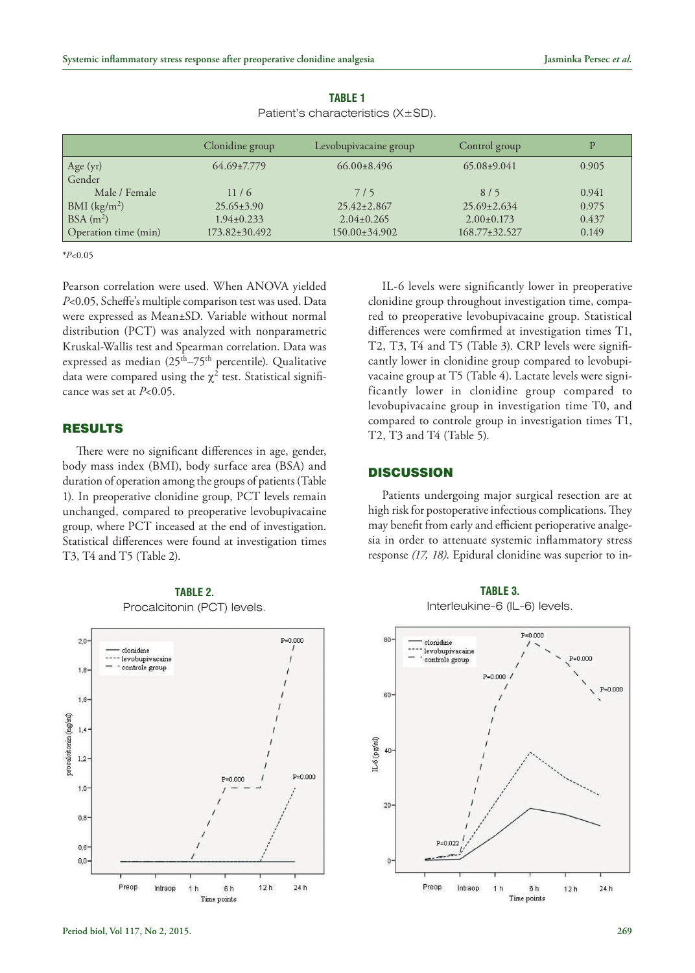|                      | Clonidine group     | Levobupivacaine group | Control group     | D     |
|----------------------|---------------------|-----------------------|-------------------|-------|
| Age (yr)             | $64.69 \pm 7.779$   | $66.00 \pm 8.496$     | $65.08 \pm 9.041$ | 0.905 |
| Gender               |                     |                       |                   |       |
| Male / Female        | 11/6                | 7/5                   | 8/5               | 0.941 |
| BMI $(kg/m2)$        | $25.65 \pm 3.90$    | $25.42 \pm 2.867$     | $25.69 \pm 2.634$ | 0.975 |
| BSA(m <sup>2</sup> ) | $1.94 \pm 0.233$    | $2.04 \pm 0.265$      | $2.00 \pm 0.173$  | 0.437 |
| Operation time (min) | $173.82 \pm 30.492$ | $150.00 \pm 34.902$   | 168.77±32.527     | 0.149 |

**Table 1** Patient's characteristics (X±SD).

**\****P*<0.05

Pearson correlation were used. When ANOVA yielded *P*<0.05, Scheffe's multiple comparison test was used. Data were expressed as Mean±SD. Variable without normal distribution (PCT) was analyzed with nonparametric Kruskal-Wallis test and Spearman correlation. Data was expressed as median (25<sup>th</sup>–75<sup>th</sup> percentile). Qualitative data were compared using the  $\chi^2$  test. Statistical significance was set at *P*<0.05.

### **RESULTS**

There were no significant differences in age, gender, body mass index (BMI), body surface area (BSA) and duration of operation among the groups of patients (Table 1). In preoperative clonidine group, PCT levels remain unchanged, compared to preoperative levobupivacaine group, where PCT inceased at the end of investigation. Statistical differences were found at investigation times T3, T4 and T5 (Table 2).



**Table 2.** Procalcitonin (PCT) levels.

IL-6 levels were significantly lower in preoperative clonidine group throughout investigation time, compared to preoperative levobupivacaine group. Statistical differences were comfirmed at investigation times T1, T2, T3, T4 and T5 (Table 3). CRP levels were significantly lower in clonidine group compared to levobupivacaine group at T5 (Table 4). Lactate levels were significantly lower in clonidine group compared to levobupivacaine group in investigation time T0, and compared to controle group in investigation times T1, T2, T3 and T4 (Table 5).

#### **DISCUSSION**

Patients undergoing major surgical resection are at high risk for postoperative infectious complications. They may benefit from early and efficient perioperative analgesia in order to attenuate systemic inflammatory stress response *(17, 18)*. Epidural clonidine was superior to in-

**Table 3.** Interleukine-6 (IL-6) levels.

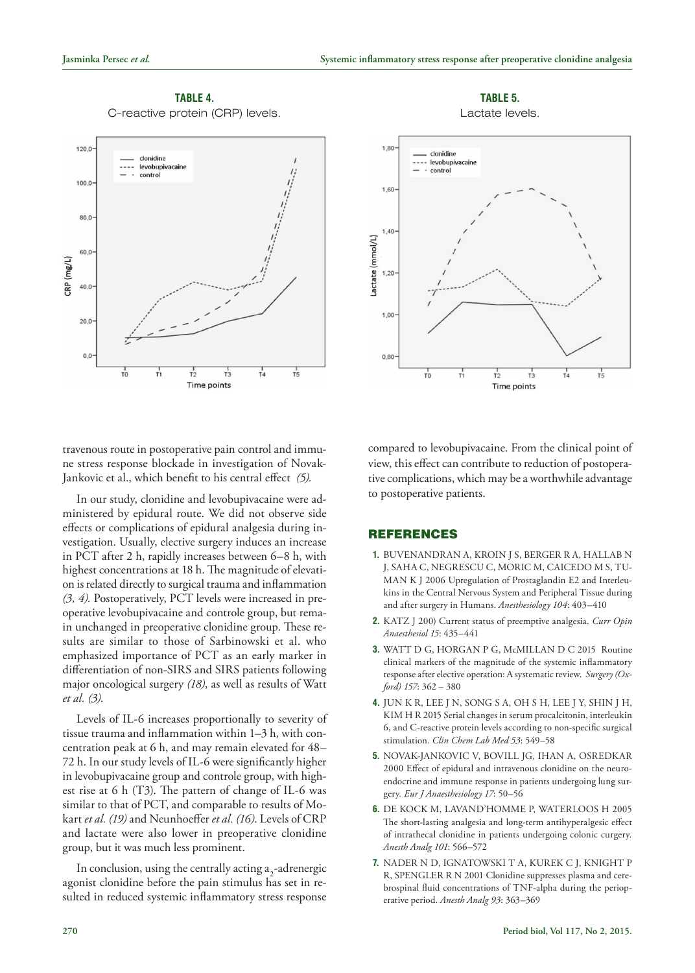## **Table 4.** C-reactive protein (CRP) levels.



travenous route in postoperative pain control and immune stress response blockade in investigation of Novak-Jankovic et al., which benefit to his central effect *(5).*

In our study, clonidine and levobupivacaine were administered by epidural route. We did not observe side effects or complications of epidural analgesia during investigation. Usually, elective surgery induces an increase in PCT after 2 h, rapidly increases between 6–8 h, with highest concentrations at 18 h. The magnitude of elevation is related directly to surgical trauma and inflammation *(3, 4).* Postoperatively, PCT levels were increased in preoperative levobupivacaine and controle group, but remain unchanged in preoperative clonidine group. These results are similar to those of Sarbinowski et al. who emphasized importance of PCT as an early marker in differentiation of non-SIRS and SIRS patients following major oncological surgery *(18)*, as well as results of Watt *et al. (3)*.

Levels of IL-6 increases proportionally to severity of tissue trauma and inflammation within 1–3 h, with concentration peak at 6 h, and may remain elevated for 48– 72 h. In our study levels of IL-6 were significantly higher in levobupivacaine group and controle group, with highest rise at 6 h (T3). The pattern of change of IL-6 was similar to that of PCT, and comparable to results of Mokart *et al. (19)* and Neunhoeffer *et al. (16)*. Levels of CRP and lactate were also lower in preoperative clonidine group, but it was much less prominent.

In conclusion, using the centrally acting  $a_2$ -adrenergic agonist clonidine before the pain stimulus has set in resulted in reduced systemic inflammatory stress response

**Table 5.** Lactate levels.



compared to levobupivacaine. From the clinical point of view, this effect can contribute to reduction of postoperative complications, which may be a worthwhile advantage to postoperative patients.

#### **REFERENCES**

- **1.** BUVENANDRAN A, KROIN J S, BERGER R A, HALLAB N J, SAHA C, NEGRESCU C, MORIC M, CAICEDO M S, TU-MAN K J 2006 Upregulation of Prostaglandin E2 and Interleukins in the Central Nervous System and Peripheral Tissue during and after surgery in Humans. *Anesthesiology 104*: 403–410
- **2.** KATZ J 200) Current status of preemptive analgesia. *Curr Opin Anaesthesiol 15*: 435–441
- **3.** WATT D G, HORGAN P G, McMILLAN D C 2015 Routine clinical markers of the magnitude of the systemic inflammatory response after elective operation: A systematic review. *Surgery (Oxford) 157*: 362 – 380
- **4.** JUN K R, LEE J N, SONG S A, OH S H, LEE J Y, SHIN J H, KIM H R 2015 Serial changes in serum procalcitonin, interleukin 6, and C-reactive protein levels according to non-specific surgical stimulation. *Clin Chem Lab Med 53*: 549–58
- **5.** NOVAK-JANKOVIC V, BOVILL JG, IHAN A, OSREDKAR 2000 Effect of epidural and intravenous clonidine on the neuroendocrine and immune response in patients undergoing lung surgery*. Eur J Anaesthesiology 17*: 50–56
- **6.** DE KOCK M, LAVAND'HOMME P, WATERLOOS H 2005 The short-lasting analgesia and long-term antihyperalgesic effect of intrathecal clonidine in patients undergoing colonic curgery*. Anesth Analg 101*: 566–572
- **7.** NADER N D, IGNATOWSKI T A, KUREK C J, KNIGHT P R, SPENGLER R N 2001 Clonidine suppresses plasma and cerebrospinal fluid concentrations of TNF-alpha during the perioperative period. *Anesth Analg 93*: 363–369